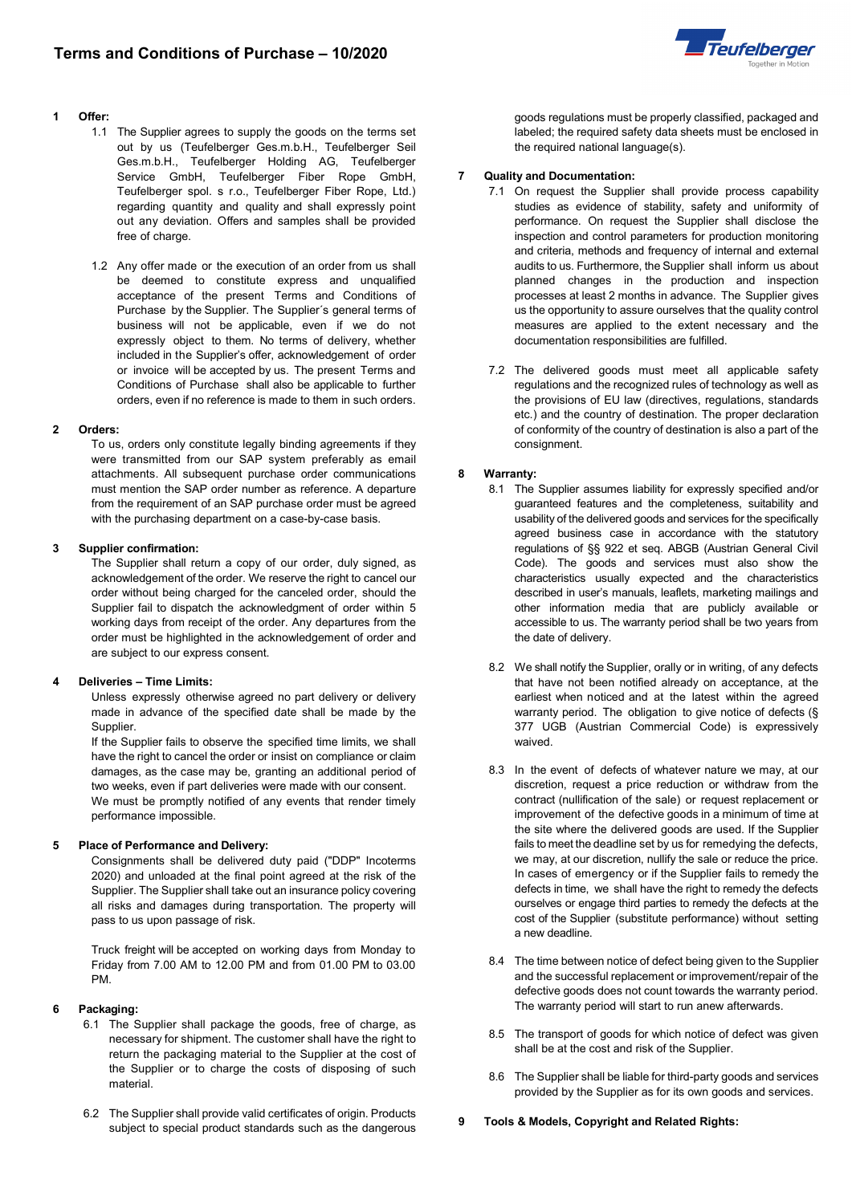

#### **1 Offer:**

- 1.1 The Supplier agrees to supply the goods on the terms set out by us (Teufelberger Ges.m.b.H., Teufelberger Seil Ges.m.b.H., Teufelberger Holding AG, Teufelberger Service GmbH, Teufelberger Fiber Rope GmbH, Teufelberger spol. s r.o., Teufelberger Fiber Rope, Ltd.) regarding quantity and quality and shall expressly point out any deviation. Offers and samples shall be provided free of charge.
- 1.2 Any offer made or the execution of an order from us shall be deemed to constitute express and unqualified acceptance of the present Terms and Conditions of Purchase by the Supplier. The Supplier´s general terms of business will not be applicable, even if we do not expressly object to them. No terms of delivery, whether included in the Supplier's offer, acknowledgement of order or invoice will be accepted by us. The present Terms and Conditions of Purchase shall also be applicable to further orders, even if no reference is made to them in such orders.

## **2 Orders:**

To us, orders only constitute legally binding agreements if they were transmitted from our SAP system preferably as email attachments. All subsequent purchase order communications must mention the SAP order number as reference. A departure from the requirement of an SAP purchase order must be agreed with the purchasing department on a case-by-case basis.

## **3 Supplier confirmation:**

The Supplier shall return a copy of our order, duly signed, as acknowledgement of the order. We reserve the right to cancel our order without being charged for the canceled order, should the Supplier fail to dispatch the acknowledgment of order within 5 working days from receipt of the order. Any departures from the order must be highlighted in the acknowledgement of order and are subject to our express consent.

# **4 Deliveries – Time Limits:**

Unless expressly otherwise agreed no part delivery or delivery made in advance of the specified date shall be made by the Supplier.

If the Supplier fails to observe the specified time limits, we shall have the right to cancel the order or insist on compliance or claim damages, as the case may be, granting an additional period of two weeks, even if part deliveries were made with our consent. We must be promptly notified of any events that render timely performance impossible.

# **5 Place of Performance and Delivery:**

Consignments shall be delivered duty paid ("DDP" Incoterms 2020) and unloaded at the final point agreed at the risk of the Supplier. The Supplier shall take out an insurance policy covering all risks and damages during transportation. The property will pass to us upon passage of risk.

Truck freight will be accepted on working days from Monday to Friday from 7.00 AM to 12.00 PM and from 01.00 PM to 03.00 PM.

# **6 Packaging:**

- 6.1 The Supplier shall package the goods, free of charge, as necessary for shipment. The customer shall have the right to return the packaging material to the Supplier at the cost of the Supplier or to charge the costs of disposing of such material.
- 6.2 The Supplier shall provide valid certificates of origin. Products subject to special product standards such as the dangerous

goods regulations must be properly classified, packaged and labeled; the required safety data sheets must be enclosed in the required national language(s).

#### **7 Quality and Documentation:**

- 7.1 On request the Supplier shall provide process capability studies as evidence of stability, safety and uniformity of performance. On request the Supplier shall disclose the inspection and control parameters for production monitoring and criteria, methods and frequency of internal and external audits to us. Furthermore, the Supplier shall inform us about planned changes in the production and inspection processes at least 2 months in advance. The Supplier gives us the opportunity to assure ourselves that the quality control measures are applied to the extent necessary and the documentation responsibilities are fulfilled.
- 7.2 The delivered goods must meet all applicable safety regulations and the recognized rules of technology as well as the provisions of EU law (directives, regulations, standards etc.) and the country of destination. The proper declaration of conformity of the country of destination is also a part of the consignment.

# **8 Warranty:**

- 8.1 The Supplier assumes liability for expressly specified and/or guaranteed features and the completeness, suitability and usability of the delivered goods and services for the specifically agreed business case in accordance with the statutory regulations of §§ 922 et seq. ABGB (Austrian General Civil Code). The goods and services must also show the characteristics usually expected and the characteristics described in user's manuals, leaflets, marketing mailings and other information media that are publicly available or accessible to us. The warranty period shall be two years from the date of delivery.
- 8.2 We shall notify the Supplier, orally or in writing, of any defects that have not been notified already on acceptance, at the earliest when noticed and at the latest within the agreed warranty period. The obligation to give notice of defects (§ 377 UGB (Austrian Commercial Code) is expressively waived.
- 8.3 In the event of defects of whatever nature we may, at our discretion, request a price reduction or withdraw from the contract (nullification of the sale) or request replacement or improvement of the defective goods in a minimum of time at the site where the delivered goods are used. If the Supplier fails to meet the deadline set by us for remedying the defects, we may, at our discretion, nullify the sale or reduce the price. In cases of emergency or if the Supplier fails to remedy the defects in time, we shall have the right to remedy the defects ourselves or engage third parties to remedy the defects at the cost of the Supplier (substitute performance) without setting a new deadline.
- 8.4 The time between notice of defect being given to the Supplier and the successful replacement or improvement/repair of the defective goods does not count towards the warranty period. The warranty period will start to run anew afterwards.
- 8.5 The transport of goods for which notice of defect was given shall be at the cost and risk of the Supplier.
- 8.6 The Supplier shall be liable for third-party goods and services provided by the Supplier as for its own goods and services.

**9 Tools & Models, Copyright and Related Rights:**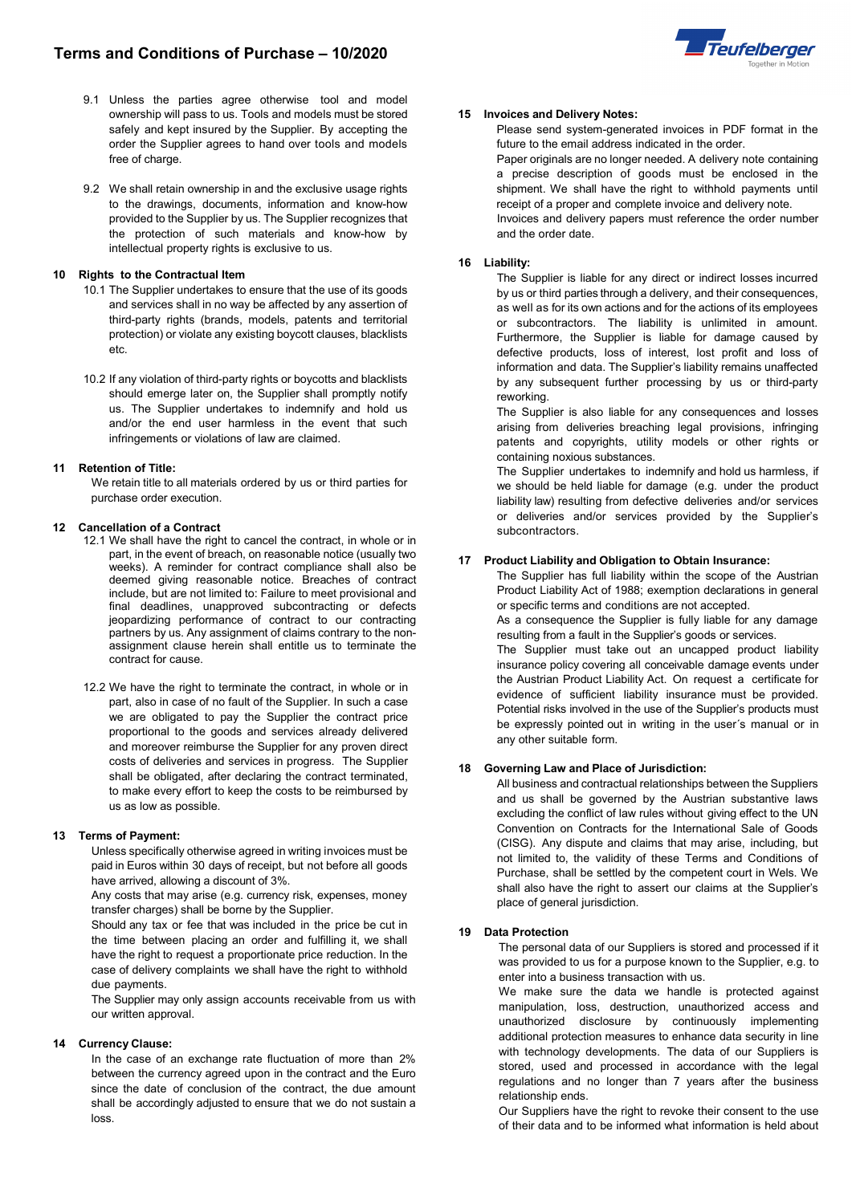- 9.1 Unless the parties agree otherwise tool and model ownership will pass to us. Tools and models must be stored safely and kept insured by the Supplier. By accepting the order the Supplier agrees to hand over tools and models free of charge.
- 9.2 We shall retain ownership in and the exclusive usage rights to the drawings, documents, information and know-how provided to the Supplier by us. The Supplier recognizes that the protection of such materials and know-how by intellectual property rights is exclusive to us.

# **10 Rights to the Contractual Item**

- 10.1 The Supplier undertakes to ensure that the use of its goods and services shall in no way be affected by any assertion of third-party rights (brands, models, patents and territorial protection) or violate any existing boycott clauses, blacklists etc.
- 10.2 If any violation of third-party rights or boycotts and blacklists should emerge later on, the Supplier shall promptly notify us. The Supplier undertakes to indemnify and hold us and/or the end user harmless in the event that such infringements or violations of law are claimed.

## **11 Retention of Title:**

We retain title to all materials ordered by us or third parties for purchase order execution.

## **12 Cancellation of a Contract**

- 12.1 We shall have the right to cancel the contract, in whole or in part, in the event of breach, on reasonable notice (usually two weeks). A reminder for contract compliance shall also be deemed giving reasonable notice. Breaches of contract include, but are not limited to: Failure to meet provisional and final deadlines, unapproved subcontracting or defects jeopardizing performance of contract to our contracting partners by us. Any assignment of claims contrary to the nonassignment clause herein shall entitle us to terminate the contract for cause.
- 12.2 We have the right to terminate the contract, in whole or in part, also in case of no fault of the Supplier. In such a case we are obligated to pay the Supplier the contract price proportional to the goods and services already delivered and moreover reimburse the Supplier for any proven direct costs of deliveries and services in progress. The Supplier shall be obligated, after declaring the contract terminated, to make every effort to keep the costs to be reimbursed by us as low as possible.

# **13 Terms of Payment:**

Unless specifically otherwise agreed in writing invoices must be paid in Euros within 30 days of receipt, but not before all goods have arrived, allowing a discount of 3%.

Any costs that may arise (e.g. currency risk, expenses, money transfer charges) shall be borne by the Supplier.

Should any tax or fee that was included in the price be cut in the time between placing an order and fulfilling it, we shall have the right to request a proportionate price reduction. In the case of delivery complaints we shall have the right to withhold due payments.

The Supplier may only assign accounts receivable from us with our written approval.

## **14 Currency Clause:**

In the case of an exchange rate fluctuation of more than 2% between the currency agreed upon in the contract and the Euro since the date of conclusion of the contract, the due amount shall be accordingly adjusted to ensure that we do not sustain a loss.



#### **15 Invoices and Delivery Notes:**

Please send system-generated invoices in PDF format in the future to the email address indicated in the order.

Paper originals are no longer needed. A delivery note containing a precise description of goods must be enclosed in the shipment. We shall have the right to withhold payments until receipt of a proper and complete invoice and delivery note.

Invoices and delivery papers must reference the order number and the order date.

## **16 Liability:**

The Supplier is liable for any direct or indirect losses incurred by us or third parties through a delivery, and their consequences, as well as for its own actions and for the actions of its employees or subcontractors. The liability is unlimited in amount. Furthermore, the Supplier is liable for damage caused by defective products, loss of interest, lost profit and loss of information and data. The Supplier's liability remains unaffected by any subsequent further processing by us or third-party reworking.

The Supplier is also liable for any consequences and losses arising from deliveries breaching legal provisions, infringing patents and copyrights, utility models or other rights or containing noxious substances.

The Supplier undertakes to indemnify and hold us harmless, if we should be held liable for damage (e.g. under the product liability law) resulting from defective deliveries and/or services or deliveries and/or services provided by the Supplier's subcontractors.

#### **17 Product Liability and Obligation to Obtain Insurance:**

The Supplier has full liability within the scope of the Austrian Product Liability Act of 1988; exemption declarations in general or specific terms and conditions are not accepted.

As a consequence the Supplier is fully liable for any damage resulting from a fault in the Supplier's goods or services.

The Supplier must take out an uncapped product liability insurance policy covering all conceivable damage events under the Austrian Product Liability Act. On request a certificate for evidence of sufficient liability insurance must be provided. Potential risks involved in the use of the Supplier's products must be expressly pointed out in writing in the user´s manual or in any other suitable form.

#### **18 Governing Law and Place of Jurisdiction:**

All business and contractual relationships between the Suppliers and us shall be governed by the Austrian substantive laws excluding the conflict of law rules without giving effect to the UN Convention on Contracts for the International Sale of Goods (CISG). Any dispute and claims that may arise, including, but not limited to, the validity of these Terms and Conditions of Purchase, shall be settled by the competent court in Wels. We shall also have the right to assert our claims at the Supplier's place of general jurisdiction.

## **19 Data Protection**

The personal data of our Suppliers is stored and processed if it was provided to us for a purpose known to the Supplier, e.g. to enter into a business transaction with us.

We make sure the data we handle is protected against manipulation, loss, destruction, unauthorized access and unauthorized disclosure by continuously implementing additional protection measures to enhance data security in line with technology developments. The data of our Suppliers is stored, used and processed in accordance with the legal regulations and no longer than 7 years after the business relationship ends.

Our Suppliers have the right to revoke their consent to the use of their data and to be informed what information is held about